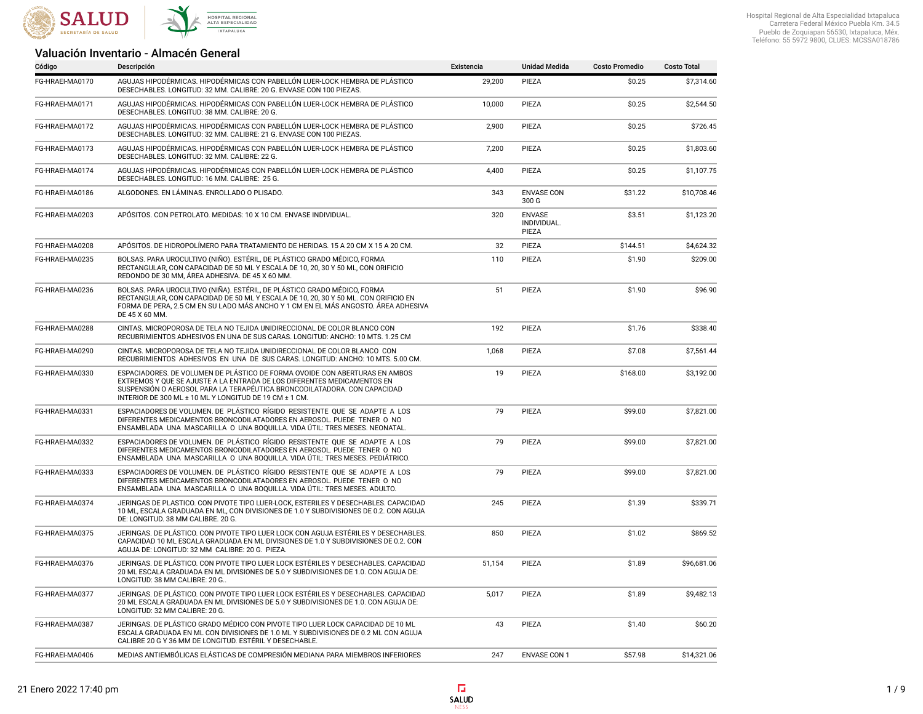

## Valuación Inventario - Almacén General

| Código          | Descripción                                                                                                                                                                                                                                                                                  | Existencia | <b>Unidad Medida</b>                  | <b>Costo Promedio</b> | <b>Costo Total</b> |
|-----------------|----------------------------------------------------------------------------------------------------------------------------------------------------------------------------------------------------------------------------------------------------------------------------------------------|------------|---------------------------------------|-----------------------|--------------------|
| FG-HRAEI-MA0170 | AGUJAS HIPODÉRMICAS. HIPODÉRMICAS CON PABELLÓN LUER-LOCK HEMBRA DE PLÁSTICO<br>DESECHABLES. LONGITUD: 32 MM. CALIBRE: 20 G. ENVASE CON 100 PIEZAS.                                                                                                                                           | 29,200     | PIEZA                                 | \$0.25                | \$7,314.60         |
| FG-HRAEI-MA0171 | AGUJAS HIPODÉRMICAS. HIPODÉRMICAS CON PABELLÓN LUER-LOCK HEMBRA DE PLÁSTICO<br>DESECHABLES. LONGITUD: 38 MM. CALIBRE: 20 G.                                                                                                                                                                  | 10,000     | PIEZA                                 | \$0.25                | \$2,544.50         |
| FG-HRAEI-MA0172 | AGUJAS HIPODÉRMICAS. HIPODÉRMICAS CON PABELLÓN LUER-LOCK HEMBRA DE PLÁSTICO<br>DESECHABLES. LONGITUD: 32 MM. CALIBRE: 21 G. ENVASE CON 100 PIEZAS.                                                                                                                                           | 2,900      | PIEZA                                 | \$0.25                | \$726.45           |
| FG-HRAEI-MA0173 | AGUJAS HIPODÉRMICAS. HIPODÉRMICAS CON PABELLÓN LUER-LOCK HEMBRA DE PLÁSTICO<br>DESECHABLES, LONGITUD: 32 MM, CALIBRE: 22 G.                                                                                                                                                                  | 7.200      | PIEZA                                 | \$0.25                | \$1,803.60         |
| FG-HRAEI-MA0174 | AGUJAS HIPODÉRMICAS. HIPODÉRMICAS CON PABELLÓN LUER-LOCK HEMBRA DE PLÁSTICO<br>DESECHABLES, LONGITUD: 16 MM, CALIBRE: 25 G.                                                                                                                                                                  | 4,400      | PIEZA                                 | \$0.25                | \$1,107.75         |
| FG-HRAEI-MA0186 | ALGODONES. EN LÁMINAS. ENROLLADO O PLISADO.                                                                                                                                                                                                                                                  | 343        | <b>ENVASE CON</b><br>300 G            | \$31.22               | \$10,708.46        |
| FG-HRAEI-MA0203 | APÓSITOS. CON PETROLATO. MEDIDAS: 10 X 10 CM. ENVASE INDIVIDUAL.                                                                                                                                                                                                                             | 320        | <b>ENVASE</b><br>INDIVIDUAL.<br>PIEZA | \$3.51                | \$1,123.20         |
| FG-HRAEI-MA0208 | APÓSITOS. DE HIDROPOLÍMERO PARA TRATAMIENTO DE HERIDAS. 15 A 20 CM X 15 A 20 CM.                                                                                                                                                                                                             | 32         | PIEZA                                 | \$144.51              | \$4,624.32         |
| FG-HRAEI-MA0235 | BOLSAS. PARA UROCULTIVO (NIÑO). ESTÉRIL, DE PLÁSTICO GRADO MÉDICO, FORMA<br>RECTANGULAR, CON CAPACIDAD DE 50 ML Y ESCALA DE 10, 20, 30 Y 50 ML, CON ORIFICIO<br>REDONDO DE 30 MM, ÁREA ADHESIVA. DE 45 X 60 MM.                                                                              | 110        | PIEZA                                 | \$1.90                | \$209.00           |
| FG-HRAEI-MA0236 | BOLSAS. PARA UROCULTIVO (NIÑA). ESTÉRIL, DE PLÁSTICO GRADO MÉDICO, FORMA<br>RECTANGULAR, CON CAPACIDAD DE 50 ML Y ESCALA DE 10, 20, 30 Y 50 ML. CON ORIFICIO EN<br>FORMA DE PERA, 2.5 CM EN SU LADO MÁS ANCHO Y 1 CM EN EL MÁS ANGOSTO. ÁREA ADHESIVA<br>DE 45 X 60 MM.                      | 51         | PIEZA                                 | \$1.90                | \$96.90            |
| FG-HRAEI-MA0288 | CINTAS. MICROPOROSA DE TELA NO TEJIDA UNIDIRECCIONAL DE COLOR BLANCO CON<br>RECUBRIMIENTOS ADHESIVOS EN UNA DE SUS CARAS, LONGITUD: ANCHO: 10 MTS, 1.25 CM                                                                                                                                   | 192        | PIEZA                                 | \$1.76                | \$338.40           |
| FG-HRAEI-MA0290 | CINTAS. MICROPOROSA DE TELA NO TEJIDA UNIDIRECCIONAL DE COLOR BLANCO CON<br>RECUBRIMIENTOS ADHESIVOS EN UNA DE SUS CARAS. LONGITUD: ANCHO: 10 MTS. 5.00 CM.                                                                                                                                  | 1,068      | PIEZA                                 | \$7.08                | \$7,561.44         |
| FG-HRAEI-MA0330 | ESPACIADORES. DE VOLUMEN DE PLÁSTICO DE FORMA OVOIDE CON ABERTURAS EN AMBOS<br>EXTREMOS Y OUE SE AJUSTE A LA ENTRADA DE LOS DIFERENTES MEDICAMENTOS EN<br>SUSPENSIÓN O AEROSOL PARA LA TERAPÉUTICA BRONCODILATADORA. CON CAPACIDAD<br>INTERIOR DE 300 ML ± 10 ML Y LONGITUD DE 19 CM ± 1 CM. | 19         | PIEZA                                 | \$168.00              | \$3,192.00         |
| FG-HRAEI-MA0331 | ESPACIADORES DE VOLUMEN. DE PLÁSTICO RÍGIDO RESISTENTE QUE SE ADAPTE A LOS<br>DIFERENTES MEDICAMENTOS BRONCODILATADORES EN AEROSOL. PUEDE TENER O NO<br>ENSAMBLADA UNA MASCARILLA O UNA BOQUILLA. VIDA ÚTIL: TRES MESES. NEONATAL.                                                           | 79         | PIEZA                                 | \$99.00               | \$7,821.00         |
| FG-HRAEI-MA0332 | ESPACIADORES DE VOLUMEN. DE PLÁSTICO RÍGIDO RESISTENTE QUE SE ADAPTE A LOS<br>DIFERENTES MEDICAMENTOS BRONCODILATADORES EN AEROSOL. PUEDE TENER O NO<br>ENSAMBLADA UNA MASCARILLA O UNA BOQUILLA. VIDA ÚTIL: TRES MESES. PEDIÁTRICO.                                                         | 79         | PIEZA                                 | \$99.00               | \$7,821.00         |
| FG-HRAEI-MA0333 | ESPACIADORES DE VOLUMEN. DE PLÁSTICO RÍGIDO RESISTENTE QUE SE ADAPTE A LOS<br>DIFERENTES MEDICAMENTOS BRONCODILATADORES EN AEROSOL. PUEDE TENER O NO<br>ENSAMBLADA UNA MASCARILLA O UNA BOQUILLA. VIDA ÚTIL: TRES MESES. ADULTO.                                                             | 79         | PIEZA                                 | \$99.00               | \$7,821.00         |
| FG-HRAEI-MA0374 | JERINGAS DE PLASTICO. CON PIVOTE TIPO LUER-LOCK, ESTERILES Y DESECHABLES. CAPACIDAD<br>10 ML, ESCALA GRADUADA EN ML, CON DIVISIONES DE 1.0 Y SUBDIVISIONES DE 0.2, CON AGUJA<br>DE: LONGITUD. 38 MM CALIBRE. 20 G.                                                                           | 245        | PIEZA                                 | \$1.39                | \$339.71           |
| FG-HRAEI-MA0375 | JERINGAS. DE PLÁSTICO. CON PIVOTE TIPO LUER LOCK CON AGUJA ESTÉRILES Y DESECHABLES.<br>CAPACIDAD 10 ML ESCALA GRADUADA EN ML DIVISIONES DE 1.0 Y SUBDIVISIONES DE 0.2. CON<br>AGUJA DE: LONGITUD: 32 MM CALIBRE: 20 G. PIEZA.                                                                | 850        | PIEZA                                 | \$1.02                | \$869.52           |
| FG-HRAEI-MA0376 | JERINGAS, DE PLÁSTICO, CON PIVOTE TIPO LUER LOCK ESTÉRILES Y DESECHABLES, CAPACIDAD<br>20 ML ESCALA GRADUADA EN ML DIVISIONES DE 5.0 Y SUBDIVISIONES DE 1.0. CON AGUJA DE:<br>LONGITUD: 38 MM CALIBRE: 20 G                                                                                  | 51,154     | PIEZA                                 | \$1.89                | \$96,681.06        |
| FG-HRAEI-MA0377 | JERINGAS. DE PLÁSTICO. CON PIVOTE TIPO LUER LOCK ESTÉRILES Y DESECHABLES. CAPACIDAD<br>20 ML ESCALA GRADUADA EN ML DIVISIONES DE 5.0 Y SUBDIVISIONES DE 1.0. CON AGUJA DE:<br>LONGITUD: 32 MM CALIBRE: 20 G.                                                                                 | 5,017      | PIEZA                                 | \$1.89                | \$9,482.13         |
| FG-HRAEI-MA0387 | JERINGAS. DE PLÁSTICO GRADO MÉDICO CON PIVOTE TIPO LUER LOCK CAPACIDAD DE 10 ML<br>ESCALA GRADUADA EN ML CON DIVISIONES DE 1.0 ML Y SUBDIVISIONES DE 0.2 ML CON AGUJA<br>CALIBRE 20 G Y 36 MM DE LONGITUD. ESTÉRIL Y DESECHABLE.                                                             | 43         | PIEZA                                 | \$1.40                | \$60.20            |
| FG-HRAEI-MA0406 | MEDIAS ANTIEMBÓLICAS ELÁSTICAS DE COMPRESIÓN MEDIANA PARA MIEMBROS INFERIORES                                                                                                                                                                                                                | 247        | <b>ENVASE CON 1</b>                   | \$57.98               | \$14,321.06        |

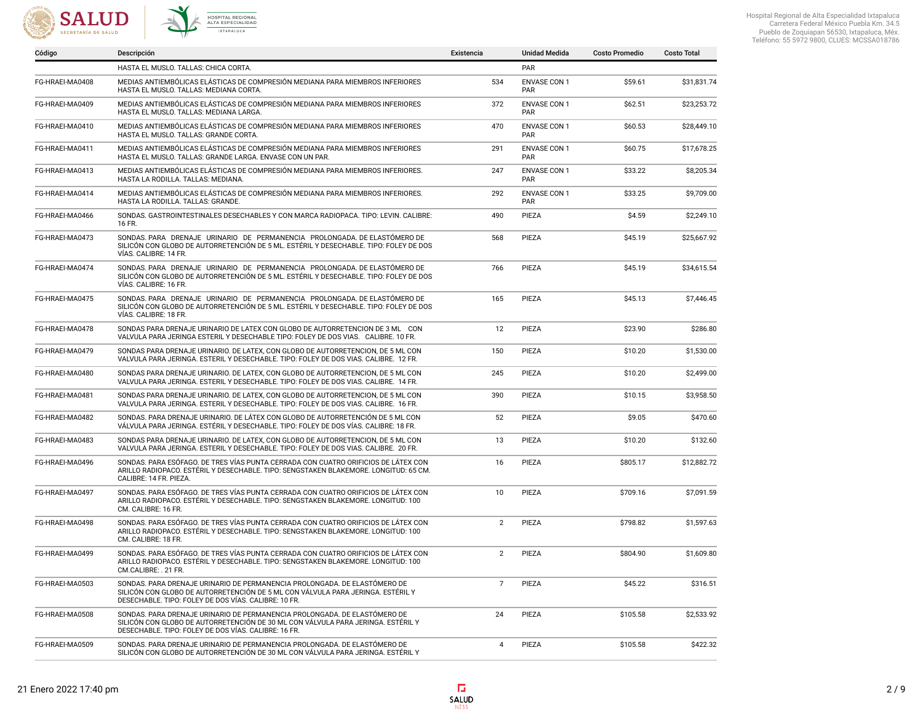



|                 | HASTA EL MUSLO. TALLAS: CHICA CORTA.                                                                                                                                                                                  |                | PAR                               |          |             |
|-----------------|-----------------------------------------------------------------------------------------------------------------------------------------------------------------------------------------------------------------------|----------------|-----------------------------------|----------|-------------|
| FG-HRAEI-MA0408 | MEDIAS ANTIEMBÓLICAS ELÁSTICAS DE COMPRESIÓN MEDIANA PARA MIEMBROS INFERIORES<br>HASTA EL MUSLO. TALLAS: MEDIANA CORTA.                                                                                               | 534            | <b>ENVASE CON 1</b><br><b>PAR</b> | \$59.61  | \$31,831.74 |
| FG-HRAEI-MA0409 | MEDIAS ANTIEMBÓLICAS ELÁSTICAS DE COMPRESIÓN MEDIANA PARA MIEMBROS INFERIORES<br>HASTA EL MUSLO. TALLAS: MEDIANA LARGA.                                                                                               | 372            | <b>ENVASE CON 1</b><br><b>PAR</b> | \$62.51  | \$23,253.72 |
| FG-HRAEI-MA0410 | MEDIAS ANTIEMBÓLICAS ELÁSTICAS DE COMPRESIÓN MEDIANA PARA MIEMBROS INFERIORES<br>HASTA EL MUSLO. TALLAS: GRANDE CORTA.                                                                                                | 470            | <b>ENVASE CON 1</b><br>PAR        | \$60.53  | \$28,449.10 |
| FG-HRAEI-MA0411 | MEDIAS ANTIEMBÓLICAS ELÁSTICAS DE COMPRESIÓN MEDIANA PARA MIEMBROS INFERIORES<br>HASTA EL MUSLO. TALLAS: GRANDE LARGA, ENVASE CON UN PAR.                                                                             | 291            | <b>ENVASE CON 1</b><br>PAR        | \$60.75  | \$17,678.25 |
| FG-HRAEI-MA0413 | MEDIAS ANTIEMBÓLICAS ELÁSTICAS DE COMPRESIÓN MEDIANA PARA MIEMBROS INFERIORES.<br>HASTA LA RODILLA. TALLAS: MEDIANA.                                                                                                  | 247            | <b>ENVASE CON 1</b><br>PAR        | \$33.22  | \$8,205.34  |
| FG-HRAEI-MA0414 | MEDIAS ANTIEMBÓLICAS ELÁSTICAS DE COMPRESIÓN MEDIANA PARA MIEMBROS INFERIORES.<br>HASTA LA RODILLA. TALLAS: GRANDE.                                                                                                   | 292            | <b>ENVASE CON 1</b><br>PAR        | \$33.25  | \$9,709.00  |
| FG-HRAEI-MA0466 | SONDAS. GASTROINTESTINALES DESECHABLES Y CON MARCA RADIOPACA. TIPO: LEVIN. CALIBRE:<br>16 FR.                                                                                                                         | 490            | PIEZA                             | \$4.59   | \$2,249.10  |
| FG-HRAEI-MA0473 | SONDAS. PARA DRENAJE URINARIO DE PERMANENCIA PROLONGADA. DE ELASTÓMERO DE<br>SILICÓN CON GLOBO DE AUTORRETENCIÓN DE 5 ML. ESTÉRIL Y DESECHABLE. TIPO: FOLEY DE DOS<br>VÍAS. CALIBRE: 14 FR.                           | 568            | PIEZA                             | \$45.19  | \$25,667.92 |
| FG-HRAEI-MA0474 | SONDAS. PARA DRENAJE URINARIO DE PERMANENCIA PROLONGADA. DE ELASTÓMERO DE<br>SILICÓN CON GLOBO DE AUTORRETENCIÓN DE 5 ML. ESTÉRIL Y DESECHABLE. TIPO: FOLEY DE DOS<br>VÍAS. CALIBRE: 16 FR.                           | 766            | PIEZA                             | \$45.19  | \$34,615.54 |
| FG-HRAEI-MA0475 | SONDAS, PARA DRENAJE URINARIO DE PERMANENCIA PROLONGADA, DE ELASTÓMERO DE<br>SILICÓN CON GLOBO DE AUTORRETENCIÓN DE 5 ML. ESTÉRIL Y DESECHABLE. TIPO: FOLEY DE DOS<br>VÍAS. CALIBRE: 18 FR.                           | 165            | PIEZA                             | \$45.13  | \$7,446.45  |
| FG-HRAEI-MA0478 | SONDAS PARA DRENAJE URINARIO DE LATEX CON GLOBO DE AUTORRETENCION DE 3 ML CON<br>VALVULA PARA JERINGA ESTERIL Y DESECHABLE TIPO: FOLEY DE DOS VIAS. CALIBRE. 10 FR.                                                   | 12             | PIEZA                             | \$23.90  | \$286.80    |
| FG-HRAEI-MA0479 | SONDAS PARA DRENAJE URINARIO. DE LATEX, CON GLOBO DE AUTORRETENCION, DE 5 ML CON<br>VALVULA PARA JERINGA. ESTERIL Y DESECHABLE. TIPO: FOLEY DE DOS VIAS. CALIBRE. 12 FR.                                              | 150            | PIEZA                             | \$10.20  | \$1,530.00  |
| FG-HRAEI-MA0480 | SONDAS PARA DRENAJE URINARIO. DE LATEX, CON GLOBO DE AUTORRETENCION, DE 5 ML CON<br>VALVULA PARA JERINGA. ESTERIL Y DESECHABLE. TIPO: FOLEY DE DOS VIAS. CALIBRE. 14 FR.                                              | 245            | PIEZA                             | \$10.20  | \$2,499.00  |
| FG-HRAEI-MA0481 | SONDAS PARA DRENAJE URINARIO. DE LATEX, CON GLOBO DE AUTORRETENCION, DE 5 ML CON<br>VALVULA PARA JERINGA. ESTERIL Y DESECHABLE. TIPO: FOLEY DE DOS VIAS. CALIBRE. 16 FR.                                              | 390            | PIEZA                             | \$10.15  | \$3,958.50  |
| FG-HRAEI-MA0482 | SONDAS. PARA DRENAJE URINARIO. DE LÁTEX CON GLOBO DE AUTORRETENCIÓN DE 5 ML CON<br>VÁLVULA PARA JERINGA. ESTÉRIL Y DESECHABLE. TIPO: FOLEY DE DOS VÍAS. CALIBRE: 18 FR.                                               | 52             | PIEZA                             | \$9.05   | \$470.60    |
| FG-HRAEI-MA0483 | SONDAS PARA DRENAJE URINARIO. DE LATEX, CON GLOBO DE AUTORRETENCION, DE 5 ML CON<br>VALVULA PARA JERINGA, ESTERIL Y DESECHABLE, TIPO; FOLEY DE DOS VIAS, CALIBRE, 20 FR.                                              | 13             | PIEZA                             | \$10.20  | \$132.60    |
| FG-HRAEI-MA0496 | SONDAS. PARA ESÓFAGO. DE TRES VÍAS PUNTA CERRADA CON CUATRO ORIFICIOS DE LÁTEX CON<br>ARILLO RADIOPACO. ESTÉRIL Y DESECHABLE. TIPO: SENGSTAKEN BLAKEMORE. LONGITUD: 65 CM.<br>CALIBRE: 14 FR. PIEZA.                  | 16             | PIEZA                             | \$805.17 | \$12,882.72 |
| FG-HRAEI-MA0497 | SONDAS. PARA ESÓFAGO. DE TRES VÍAS PUNTA CERRADA CON CUATRO ORIFICIOS DE LÁTEX CON<br>ARILLO RADIOPACO. ESTÉRIL Y DESECHABLE. TIPO: SENGSTAKEN BLAKEMORE. LONGITUD: 100<br>CM. CALIBRE: 16 FR.                        | 10             | PIEZA                             | \$709.16 | \$7,091.59  |
| FG-HRAEI-MA0498 | SONDAS. PARA ESÓFAGO. DE TRES VÍAS PUNTA CERRADA CON CUATRO ORIFICIOS DE LÁTEX CON<br>ARILLO RADIOPACO. ESTÉRIL Y DESECHABLE. TIPO: SENGSTAKEN BLAKEMORE. LONGITUD: 100<br>CM. CALIBRE: 18 FR.                        | $\overline{2}$ | PIEZA                             | \$798.82 | \$1,597.63  |
| FG-HRAEI-MA0499 | SONDAS. PARA ESÓFAGO. DE TRES VÍAS PUNTA CERRADA CON CUATRO ORIFICIOS DE LÁTEX CON<br>ARILLO RADIOPACO. ESTÉRIL Y DESECHABLE. TIPO: SENGSTAKEN BLAKEMORE. LONGITUD: 100<br>CM.CALIBRE: . 21 FR.                       | $\overline{2}$ | PIEZA                             | \$804.90 | \$1,609.80  |
| FG-HRAEI-MA0503 | SONDAS. PARA DRENAJE URINARIO DE PERMANENCIA PROLONGADA. DE ELASTÓMERO DE<br>SILICÓN CON GLOBO DE AUTORRETENCIÓN DE 5 ML CON VÁLVULA PARA JERINGA. ESTÉRIL Y<br>DESECHABLE. TIPO: FOLEY DE DOS VÍAS. CALIBRE: 10 FR.  | $\overline{7}$ | PIEZA                             | \$45.22  | \$316.51    |
| FG-HRAEI-MA0508 | SONDAS. PARA DRENAJE URINARIO DE PERMANENCIA PROLONGADA. DE ELASTÓMERO DE<br>SILICÓN CON GLOBO DE AUTORRETENCIÓN DE 30 ML CON VÁLVULA PARA JERINGA. ESTÉRIL Y<br>DESECHABLE. TIPO: FOLEY DE DOS VÍAS. CALIBRE: 16 FR. | 24             | PIEZA                             | \$105.58 | \$2,533.92  |
| FG-HRAEI-MA0509 | SONDAS. PARA DRENAJE URINARIO DE PERMANENCIA PROLONGADA. DE ELASTÓMERO DE<br>SILICÓN CON GLOBO DE AUTORRETENCIÓN DE 30 ML CON VÁLVULA PARA JERINGA. ESTÉRIL Y                                                         | 4              | PIEZA                             | \$105.58 | \$422.32    |

Código Descripción Existencia Unidad Medida Costo Promedio Costo Total

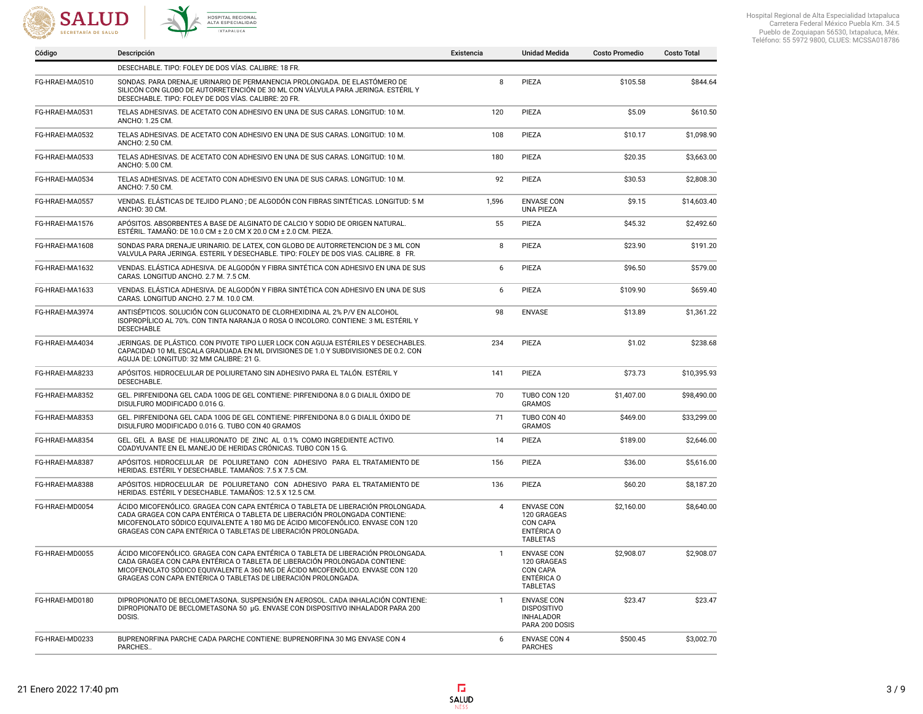



|                 | DESECHABLE. TIPO: FOLEY DE DOS VÍAS. CALIBRE: 18 FR.                                                                                                                                                                                                                                                               |              |                                                                               |            |             |
|-----------------|--------------------------------------------------------------------------------------------------------------------------------------------------------------------------------------------------------------------------------------------------------------------------------------------------------------------|--------------|-------------------------------------------------------------------------------|------------|-------------|
| FG-HRAEI-MA0510 | SONDAS. PARA DRENAJE URINARIO DE PERMANENCIA PROLONGADA. DE ELASTÓMERO DE<br>SILICÓN CON GLOBO DE AUTORRETENCIÓN DE 30 ML CON VÁLVULA PARA JERINGA. ESTÉRIL Y<br>DESECHABLE. TIPO: FOLEY DE DOS VÍAS. CALIBRE: 20 FR.                                                                                              | 8            | PIEZA                                                                         | \$105.58   | \$844.64    |
| FG-HRAEI-MA0531 | TELAS ADHESIVAS. DE ACETATO CON ADHESIVO EN UNA DE SUS CARAS. LONGITUD: 10 M.<br>ANCHO: 1.25 CM.                                                                                                                                                                                                                   | 120          | PIEZA                                                                         | \$5.09     | \$610.50    |
| FG-HRAEI-MA0532 | TELAS ADHESIVAS. DE ACETATO CON ADHESIVO EN UNA DE SUS CARAS. LONGITUD: 10 M.<br>ANCHO: 2.50 CM.                                                                                                                                                                                                                   | 108          | PIEZA                                                                         | \$10.17    | \$1,098.90  |
| FG-HRAEI-MA0533 | TELAS ADHESIVAS. DE ACETATO CON ADHESIVO EN UNA DE SUS CARAS. LONGITUD: 10 M.<br>ANCHO: 5.00 CM.                                                                                                                                                                                                                   | 180          | PIEZA                                                                         | \$20.35    | \$3,663.00  |
| FG-HRAEI-MA0534 | TELAS ADHESIVAS. DE ACETATO CON ADHESIVO EN UNA DE SUS CARAS. LONGITUD: 10 M.<br>ANCHO: 7.50 CM.                                                                                                                                                                                                                   | 92           | PIEZA                                                                         | \$30.53    | \$2,808.30  |
| FG-HRAEI-MA0557 | VENDAS. ELÁSTICAS DE TEJIDO PLANO ; DE ALGODÓN CON FIBRAS SINTÉTICAS. LONGITUD: 5 M<br>ANCHO: 30 CM.                                                                                                                                                                                                               | 1,596        | <b>ENVASE CON</b><br><b>UNA PIEZA</b>                                         | \$9.15     | \$14,603.40 |
| FG-HRAEI-MA1576 | APÓSITOS. ABSORBENTES A BASE DE ALGINATO DE CALCIO Y SODIO DE ORIGEN NATURAL.<br>ESTÉRIL. TAMAÑO: DE 10.0 CM ± 2.0 CM X 20.0 CM ± 2.0 CM. PIEZA.                                                                                                                                                                   | 55           | PIEZA                                                                         | \$45.32    | \$2,492.60  |
| FG-HRAEI-MA1608 | SONDAS PARA DRENAJE URINARIO. DE LATEX, CON GLOBO DE AUTORRETENCION DE 3 ML CON<br>VALVULA PARA JERINGA. ESTERIL Y DESECHABLE. TIPO: FOLEY DE DOS VIAS. CALIBRE. 8 FR.                                                                                                                                             | 8            | PIEZA                                                                         | \$23.90    | \$191.20    |
| FG-HRAEI-MA1632 | VENDAS. ELÁSTICA ADHESIVA. DE ALGODÓN Y FIBRA SINTÉTICA CON ADHESIVO EN UNA DE SUS<br>CARAS. LONGITUD ANCHO. 2.7 M. 7.5 CM.                                                                                                                                                                                        | 6            | PIEZA                                                                         | \$96.50    | \$579.00    |
| FG-HRAEI-MA1633 | VENDAS. ELÁSTICA ADHESIVA. DE ALGODÓN Y FIBRA SINTÉTICA CON ADHESIVO EN UNA DE SUS<br>CARAS. LONGITUD ANCHO. 2.7 M. 10.0 CM.                                                                                                                                                                                       | 6            | PIEZA                                                                         | \$109.90   | \$659.40    |
| FG-HRAEI-MA3974 | ANTISÉPTICOS. SOLUCIÓN CON GLUCONATO DE CLORHEXIDINA AL 2% P/V EN ALCOHOL<br>ISOPROPÍLICO AL 70%. CON TINTA NARANJA O ROSA O INCOLORO. CONTIENE: 3 ML ESTÉRIL Y<br><b>DESECHABLE</b>                                                                                                                               | 98           | <b>ENVASE</b>                                                                 | \$13.89    | \$1,361.22  |
| FG-HRAEI-MA4034 | JERINGAS. DE PLÁSTICO. CON PIVOTE TIPO LUER LOCK CON AGUJA ESTÉRILES Y DESECHABLES.<br>CAPACIDAD 10 ML ESCALA GRADUADA EN ML DIVISIONES DE 1.0 Y SUBDIVISIONES DE 0.2. CON<br>AGUJA DE: LONGITUD: 32 MM CALIBRE: 21 G.                                                                                             | 234          | PIEZA                                                                         | \$1.02     | \$238.68    |
| FG-HRAEI-MA8233 | APÓSITOS. HIDROCELULAR DE POLIURETANO SIN ADHESIVO PARA EL TALÓN. ESTÉRIL Y<br>DESECHABLE.                                                                                                                                                                                                                         | 141          | PIEZA                                                                         | \$73.73    | \$10,395.93 |
| FG-HRAEI-MA8352 | GEL. PIRFENIDONA GEL CADA 100G DE GEL CONTIENE: PIRFENIDONA 8.0 G DIALIL ÓXIDO DE<br>DISULFURO MODIFICADO 0.016 G.                                                                                                                                                                                                 | 70           | TUBO CON 120<br><b>GRAMOS</b>                                                 | \$1,407.00 | \$98,490.00 |
| FG-HRAEI-MA8353 | GEL. PIRFENIDONA GEL CADA 100G DE GEL CONTIENE: PIRFENIDONA 8.0 G DIALIL ÓXIDO DE<br>DISULFURO MODIFICADO 0.016 G. TUBO CON 40 GRAMOS                                                                                                                                                                              | 71           | TUBO CON 40<br><b>GRAMOS</b>                                                  | \$469.00   | \$33,299.00 |
| FG-HRAEI-MA8354 | GEL, GEL A BASE DE HIALURONATO DE ZINC AL 0.1% COMO INGREDIENTE ACTIVO.<br>COADYUVANTE EN EL MANEJO DE HERIDAS CRÓNICAS. TUBO CON 15 G.                                                                                                                                                                            | 14           | PIEZA                                                                         | \$189.00   | \$2,646.00  |
| FG-HRAEI-MA8387 | APÓSITOS. HIDROCELULAR DE POLIURETANO CON ADHESIVO PARA EL TRATAMIENTO DE<br>HERIDAS. ESTÉRIL Y DESECHABLE. TAMAÑOS: 7.5 X 7.5 CM.                                                                                                                                                                                 | 156          | PIEZA                                                                         | \$36.00    | \$5,616.00  |
| FG-HRAEI-MA8388 | APÓSITOS. HIDROCELULAR DE POLIURETANO CON ADHESIVO PARA EL TRATAMIENTO DE<br>HERIDAS. ESTÉRIL Y DESECHABLE. TAMAÑOS: 12.5 X 12.5 CM.                                                                                                                                                                               | 136          | PIEZA                                                                         | \$60.20    | \$8,187.20  |
| FG-HRAEI-MD0054 | ÁCIDO MICOFENÓLICO. GRAGEA CON CAPA ENTÉRICA O TABLETA DE LIBERACIÓN PROLONGADA.<br>CADA GRAGEA CON CAPA ENTÉRICA O TABLETA DE LIBERACIÓN PROLONGADA CONTIENE:<br>MICOFENOLATO SÓDICO EQUIVALENTE A 180 MG DE ÁCIDO MICOFENÓLICO. ENVASE CON 120<br>GRAGEAS CON CAPA ENTÉRICA O TABLETAS DE LIBERACIÓN PROLONGADA. | 4            | <b>ENVASE CON</b><br>120 GRAGEAS<br>CON CAPA<br>ENTÉRICA O<br><b>TABLETAS</b> | \$2,160.00 | \$8,640.00  |
| FG-HRAEI-MD0055 | ÁCIDO MICOFENÓLICO. GRAGEA CON CAPA ENTÉRICA O TABLETA DE LIBERACIÓN PROLONGADA.<br>CADA GRAGEA CON CAPA ENTÉRICA O TABLETA DE LIBERACIÓN PROLONGADA CONTIENE:<br>MICOFENOLATO SÓDICO EQUIVALENTE A 360 MG DE ÁCIDO MICOFENÓLICO. ENVASE CON 120<br>GRAGEAS CON CAPA ENTÉRICA O TABLETAS DE LIBERACIÓN PROLONGADA. | $\mathbf{1}$ | <b>ENVASE CON</b><br>120 GRAGEAS<br>CON CAPA<br>ENTÉRICA O<br><b>TABLETAS</b> | \$2,908.07 | \$2,908.07  |
| FG-HRAEI-MD0180 | DIPROPIONATO DE BECLOMETASONA. SUSPENSIÓN EN AEROSOL. CADA INHALACIÓN CONTIENE:<br>DIPROPIONATO DE BECLOMETASONA 50 µG. ENVASE CON DISPOSITIVO INHALADOR PARA 200<br>DOSIS.                                                                                                                                        | $\mathbf{1}$ | <b>ENVASE CON</b><br><b>DISPOSITIVO</b><br><b>INHALADOR</b><br>PARA 200 DOSIS | \$23.47    | \$23.47     |
| FG-HRAEI-MD0233 | BUPRENORFINA PARCHE CADA PARCHE CONTIENE: BUPRENORFINA 30 MG ENVASE CON 4<br>PARCHES.                                                                                                                                                                                                                              | 6            | <b>ENVASE CON 4</b><br><b>PARCHES</b>                                         | \$500.45   | \$3,002.70  |

Código Descripción Existencia Unidad Medida Costo Promedio Costo Total

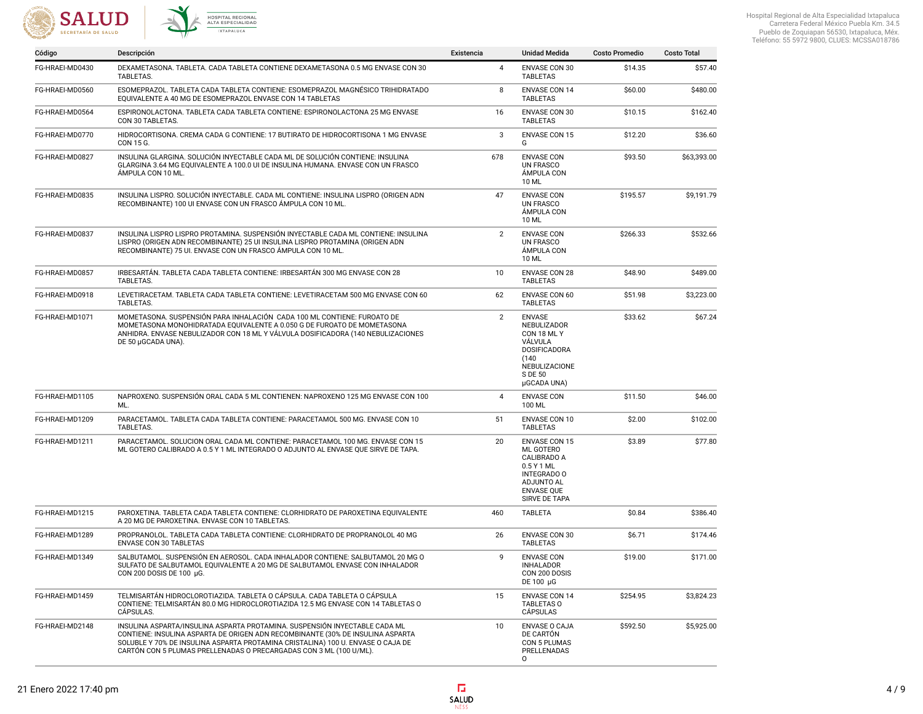



| Código          | Descripción                                                                                                                                                                                                                                                                                                           | Existencia     | <b>Unidad Medida</b>                                                                                                                     | <b>Costo Promedio</b> | <b>Costo Total</b> |
|-----------------|-----------------------------------------------------------------------------------------------------------------------------------------------------------------------------------------------------------------------------------------------------------------------------------------------------------------------|----------------|------------------------------------------------------------------------------------------------------------------------------------------|-----------------------|--------------------|
| FG-HRAEI-MD0430 | DEXAMETASONA, TABLETA, CADA TABLETA CONTIENE DEXAMETASONA 0.5 MG ENVASE CON 30<br>TABLETAS.                                                                                                                                                                                                                           | 4              | ENVASE CON 30<br><b>TABLETAS</b>                                                                                                         | \$14.35               | \$57.40            |
| FG-HRAEI-MD0560 | ESOMEPRAZOL. TABLETA CADA TABLETA CONTIENE: ESOMEPRAZOL MAGNÉSICO TRIHIDRATADO<br>EQUIVALENTE A 40 MG DE ESOMEPRAZOL ENVASE CON 14 TABLETAS                                                                                                                                                                           | 8              | <b>ENVASE CON 14</b><br><b>TABLETAS</b>                                                                                                  | \$60.00               | \$480.00           |
| FG-HRAEI-MD0564 | ESPIRONOLACTONA. TABLETA CADA TABLETA CONTIENE: ESPIRONOLACTONA 25 MG ENVASE<br>CON 30 TABLETAS.                                                                                                                                                                                                                      | 16             | ENVASE CON 30<br><b>TABLETAS</b>                                                                                                         | \$10.15               | \$162.40           |
| FG-HRAEI-MD0770 | HIDROCORTISONA. CREMA CADA G CONTIENE: 17 BUTIRATO DE HIDROCORTISONA 1 MG ENVASE<br>CON 15 G.                                                                                                                                                                                                                         | 3              | <b>ENVASE CON 15</b><br>G                                                                                                                | \$12.20               | \$36.60            |
| FG-HRAEI-MD0827 | INSULINA GLARGINA. SOLUCIÓN INYECTABLE CADA ML DE SOLUCIÓN CONTIENE: INSULINA<br>GLARGINA 3.64 MG EOUIVALENTE A 100.0 UI DE INSULINA HUMANA, ENVASE CON UN FRASCO<br>ÁMPULA CON 10 ML.                                                                                                                                | 678            | <b>ENVASE CON</b><br><b>UN FRASCO</b><br><b>AMPULA CON</b><br>10 ML                                                                      | \$93.50               | \$63,393.00        |
| FG-HRAEI-MD0835 | INSULINA LISPRO. SOLUCIÓN INYECTABLE. CADA ML CONTIENE: INSULINA LISPRO (ORIGEN ADN<br>RECOMBINANTE) 100 UI ENVASE CON UN FRASCO ÁMPULA CON 10 ML.                                                                                                                                                                    | 47             | <b>ENVASE CON</b><br><b>UN FRASCO</b><br>ÁMPULA CON<br><b>10 ML</b>                                                                      | \$195.57              | \$9,191.79         |
| FG-HRAEI-MD0837 | INSULINA LISPRO LISPRO PROTAMINA. SUSPENSIÓN INYECTABLE CADA ML CONTIENE: INSULINA<br>LISPRO (ORIGEN ADN RECOMBINANTE) 25 UI INSULINA LISPRO PROTAMINA (ORIGEN ADN<br>RECOMBINANTE) 75 UI. ENVASE CON UN FRASCO ÁMPULA CON 10 ML.                                                                                     | $\overline{2}$ | <b>ENVASE CON</b><br><b>UN FRASCO</b><br>ÁMPULA CON<br>10 ML                                                                             | \$266.33              | \$532.66           |
| FG-HRAEI-MD0857 | IRBESARTÁN. TABLETA CADA TABLETA CONTIENE: IRBESARTÁN 300 MG ENVASE CON 28<br>TABLETAS.                                                                                                                                                                                                                               | 10             | <b>ENVASE CON 28</b><br><b>TABLETAS</b>                                                                                                  | \$48.90               | \$489.00           |
| FG-HRAEI-MD0918 | LEVETIRACETAM. TABLETA CADA TABLETA CONTIENE: LEVETIRACETAM 500 MG ENVASE CON 60<br>TABLETAS.                                                                                                                                                                                                                         | 62             | <b>ENVASE CON 60</b><br><b>TABLETAS</b>                                                                                                  | \$51.98               | \$3,223.00         |
| FG-HRAEI-MD1071 | MOMETASONA, SUSPENSIÓN PARA INHALACIÓN CADA 100 ML CONTIENE: FUROATO DE<br>MOMETASONA MONOHIDRATADA EQUIVALENTE A 0.050 G DE FUROATO DE MOMETASONA<br>ANHIDRA. ENVASE NEBULIZADOR CON 18 ML Y VÁLVULA DOSIFICADORA (140 NEBULIZACIONES<br>DE 50 µGCADA UNA).                                                          | $\overline{2}$ | <b>ENVASE</b><br>NEBULIZADOR<br>CON 18 ML Y<br>VÁLVULA<br><b>DOSIFICADORA</b><br>(140)<br>NEBULIZACIONE<br>S DE 50<br>µGCADA UNA)        | \$33.62               | \$67.24            |
| FG-HRAEI-MD1105 | NAPROXENO. SUSPENSIÓN ORAL CADA 5 ML CONTIENEN: NAPROXENO 125 MG ENVASE CON 100<br>ML.                                                                                                                                                                                                                                | 4              | <b>ENVASE CON</b><br>100 ML                                                                                                              | \$11.50               | \$46.00            |
| FG-HRAEI-MD1209 | PARACETAMOL. TABLETA CADA TABLETA CONTIENE: PARACETAMOL 500 MG. ENVASE CON 10<br>TABLETAS.                                                                                                                                                                                                                            | 51             | <b>ENVASE CON 10</b><br><b>TABLETAS</b>                                                                                                  | \$2.00                | \$102.00           |
| FG-HRAEI-MD1211 | PARACETAMOL. SOLUCION ORAL CADA ML CONTIENE: PARACETAMOL 100 MG. ENVASE CON 15<br>ML GOTERO CALIBRADO A 0.5 Y 1 ML INTEGRADO O ADJUNTO AL ENVASE QUE SIRVE DE TAPA.                                                                                                                                                   | 20             | <b>ENVASE CON 15</b><br>ML GOTERO<br>CALIBRADO A<br>0.5 Y 1 ML<br><b>INTEGRADO O</b><br>ADJUNTO AL<br><b>ENVASE QUE</b><br>SIRVE DE TAPA | \$3.89                | \$77.80            |
| FG-HRAEI-MD1215 | PAROXETINA. TABLETA CADA TABLETA CONTIENE: CLORHIDRATO DE PAROXETINA EQUIVALENTE<br>A 20 MG DE PAROXETINA. ENVASE CON 10 TABLETAS.                                                                                                                                                                                    | 460            | <b>TABLETA</b>                                                                                                                           | \$0.84                | \$386.40           |
| FG-HRAEI-MD1289 | PROPRANOLOL. TABLETA CADA TABLETA CONTIENE: CLORHIDRATO DE PROPRANOLOL 40 MG<br><b>ENVASE CON 30 TABLETAS</b>                                                                                                                                                                                                         | 26             | <b>ENVASE CON 30</b><br><b>TABLETAS</b>                                                                                                  | \$6.71                | \$174.46           |
| FG-HRAEI-MD1349 | SALBUTAMOL. SUSPENSIÓN EN AEROSOL. CADA INHALADOR CONTIENE: SALBUTAMOL 20 MG O<br>SULFATO DE SALBUTAMOL EQUIVALENTE A 20 MG DE SALBUTAMOL ENVASE CON INHALADOR<br>CON 200 DOSIS DE 100 µG.                                                                                                                            | 9              | <b>ENVASE CON</b><br><b>INHALADOR</b><br>CON 200 DOSIS<br>DE 100 µG                                                                      | \$19.00               | \$171.00           |
| FG-HRAEI-MD1459 | TELMISARTÁN HIDROCLOROTIAZIDA. TABLETA O CÁPSULA. CADA TABLETA O CÁPSULA<br>CONTIENE: TELMISARTÁN 80.0 MG HIDROCLOROTIAZIDA 12.5 MG ENVASE CON 14 TABLETAS O<br>CÁPSULAS.                                                                                                                                             | 15             | <b>ENVASE CON 14</b><br><b>TABLETAS O</b><br>CÁPSULAS                                                                                    | \$254.95              | \$3,824.23         |
| FG-HRAEI-MD2148 | INSULINA ASPARTA/INSULINA ASPARTA PROTAMINA. SUSPENSIÓN INYECTABLE CADA ML<br>CONTIENE: INSULINA ASPARTA DE ORIGEN ADN RECOMBINANTE (30% DE INSULINA ASPARTA<br>SOLUBLE Y 70% DE INSULINA ASPARTA PROTAMINA CRISTALINA) 100 U. ENVASE O CAJA DE<br>CARTÓN CON 5 PLUMAS PRELLENADAS O PRECARGADAS CON 3 ML (100 U/ML). | 10             | <b>ENVASE O CAJA</b><br>DE CARTÓN<br>CON 5 PLUMAS<br>PRELLENADAS<br>0                                                                    | \$592.50              | \$5,925.00         |

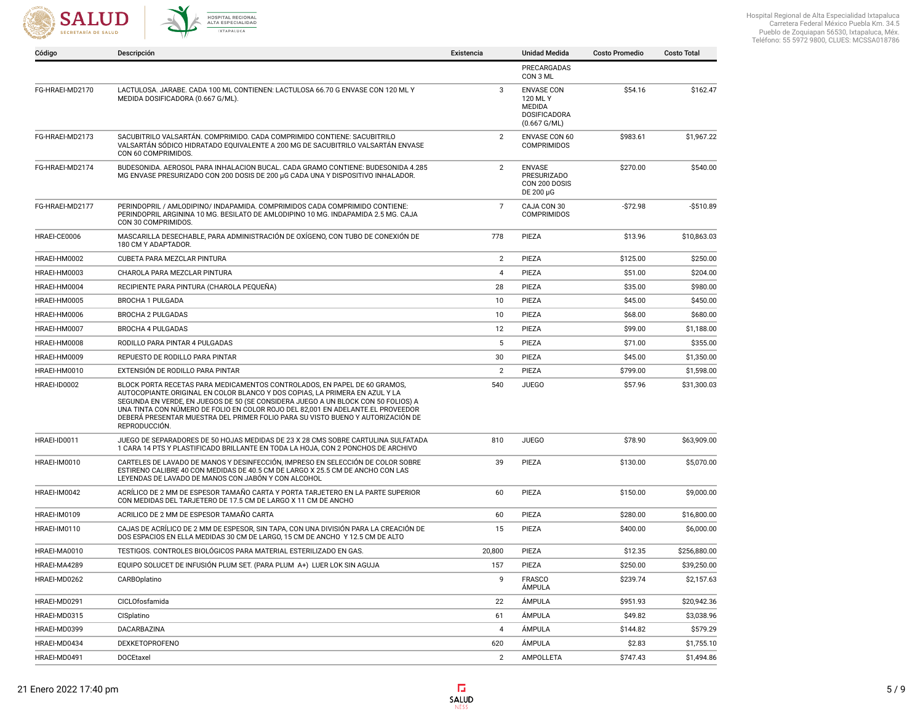



| Código          | Descripción                                                                                                                                                                                                                                                                                                                                                                                                                          | Existencia     | Unidad Medida                                                                                   | <b>Costo Promedio</b> | <b>Costo Total</b> |
|-----------------|--------------------------------------------------------------------------------------------------------------------------------------------------------------------------------------------------------------------------------------------------------------------------------------------------------------------------------------------------------------------------------------------------------------------------------------|----------------|-------------------------------------------------------------------------------------------------|-----------------------|--------------------|
|                 |                                                                                                                                                                                                                                                                                                                                                                                                                                      |                | PRECARGADAS<br>CON 3 ML                                                                         |                       |                    |
| FG-HRAEI-MD2170 | LACTULOSA. JARABE. CADA 100 ML CONTIENEN: LACTULOSA 66.70 G ENVASE CON 120 ML Y<br>MEDIDA DOSIFICADORA (0.667 G/ML).                                                                                                                                                                                                                                                                                                                 | 3              | <b>ENVASE CON</b><br>120 ML Y<br><b>MEDIDA</b><br><b>DOSIFICADORA</b><br>$(0.667 \text{ G/ML})$ | \$54.16               | \$162.47           |
| FG-HRAEI-MD2173 | SACUBITRILO VALSARTÁN. COMPRIMIDO. CADA COMPRIMIDO CONTIENE: SACUBITRILO<br>VALSARTÁN SÓDICO HIDRATADO EQUIVALENTE A 200 MG DE SACUBITRILO VALSARTÁN ENVASE<br>CON 60 COMPRIMIDOS.                                                                                                                                                                                                                                                   | 2              | <b>ENVASE CON 60</b><br><b>COMPRIMIDOS</b>                                                      | \$983.61              | \$1,967.22         |
| FG-HRAEI-MD2174 | BUDESONIDA. AEROSOL PARA INHALACION BUCAL. CADA GRAMO CONTIENE: BUDESONIDA 4.285<br>MG ENVASE PRESURIZADO CON 200 DOSIS DE 200 µG CADA UNA Y DISPOSITIVO INHALADOR.                                                                                                                                                                                                                                                                  | $\overline{2}$ | <b>ENVASE</b><br><b>PRESURIZADO</b><br>CON 200 DOSIS<br>DE 200 µG                               | \$270.00              | \$540.00           |
| FG-HRAEI-MD2177 | PERINDOPRIL / AMLODIPINO/ INDAPAMIDA. COMPRIMIDOS CADA COMPRIMIDO CONTIENE:<br>PERINDOPRIL ARGININA 10 MG. BESILATO DE AMLODIPINO 10 MG. INDAPAMIDA 2.5 MG. CAJA<br>CON 30 COMPRIMIDOS.                                                                                                                                                                                                                                              | $\overline{7}$ | CAJA CON 30<br><b>COMPRIMIDOS</b>                                                               | $-$72.98$             | $-$ \$510.89       |
| HRAEI-CE0006    | MASCARILLA DESECHABLE, PARA ADMINISTRACIÓN DE OXÍGENO, CON TUBO DE CONEXIÓN DE<br>180 CM Y ADAPTADOR.                                                                                                                                                                                                                                                                                                                                | 778            | PIEZA                                                                                           | \$13.96               | \$10,863.03        |
| HRAEI-HM0002    | CUBETA PARA MEZCLAR PINTURA                                                                                                                                                                                                                                                                                                                                                                                                          | $\overline{2}$ | PIEZA                                                                                           | \$125.00              | \$250.00           |
| HRAEI-HM0003    | CHAROLA PARA MEZCLAR PINTURA                                                                                                                                                                                                                                                                                                                                                                                                         | 4              | PIEZA                                                                                           | \$51.00               | \$204.00           |
| HRAEI-HM0004    | RECIPIENTE PARA PINTURA (CHAROLA PEQUEÑA)                                                                                                                                                                                                                                                                                                                                                                                            | 28             | PIEZA                                                                                           | \$35.00               | \$980.00           |
| HRAEI-HM0005    | <b>BROCHA 1 PULGADA</b>                                                                                                                                                                                                                                                                                                                                                                                                              | 10             | PIEZA                                                                                           | \$45.00               | \$450.00           |
| HRAEI-HM0006    | <b>BROCHA 2 PULGADAS</b>                                                                                                                                                                                                                                                                                                                                                                                                             | 10             | PIEZA                                                                                           | \$68.00               | \$680.00           |
| HRAEI-HM0007    | <b>BROCHA 4 PULGADAS</b>                                                                                                                                                                                                                                                                                                                                                                                                             | 12             | PIEZA                                                                                           | \$99.00               | \$1,188.00         |
| HRAEI-HM0008    | RODILLO PARA PINTAR 4 PULGADAS                                                                                                                                                                                                                                                                                                                                                                                                       | 5              | PIEZA                                                                                           | \$71.00               | \$355.00           |
| HRAEI-HM0009    | REPUESTO DE RODILLO PARA PINTAR                                                                                                                                                                                                                                                                                                                                                                                                      | 30             | PIEZA                                                                                           | \$45.00               | \$1,350.00         |
| HRAEI-HM0010    | EXTENSIÓN DE RODILLO PARA PINTAR                                                                                                                                                                                                                                                                                                                                                                                                     | $\overline{2}$ | PIEZA                                                                                           | \$799.00              | \$1,598.00         |
| HRAEI-ID0002    | BLOCK PORTA RECETAS PARA MEDICAMENTOS CONTROLADOS, EN PAPEL DE 60 GRAMOS,<br>AUTOCOPIANTE.ORIGINAL EN COLOR BLANCO Y DOS COPIAS, LA PRIMERA EN AZUL Y LA<br>SEGUNDA EN VERDE, EN JUEGOS DE 50 (SE CONSIDERA JUEGO A UN BLOCK CON 50 FOLIOS) A<br>UNA TINTA CON NÚMERO DE FOLIO EN COLOR ROJO DEL 82,001 EN ADELANTE.EL PROVEEDOR<br>DEBERÁ PRESENTAR MUESTRA DEL PRIMER FOLIO PARA SU VISTO BUENO Y AUTORIZACIÓN DE<br>REPRODUCCIÓN. | 540            | <b>JUEGO</b>                                                                                    | \$57.96               | \$31,300.03        |
| HRAEI-ID0011    | JUEGO DE SEPARADORES DE 50 HOJAS MEDIDAS DE 23 X 28 CMS SOBRE CARTULINA SULFATADA<br>1 CARA 14 PTS Y PLASTIFICADO BRILLANTE EN TODA LA HOJA, CON 2 PONCHOS DE ARCHIVO                                                                                                                                                                                                                                                                | 810            | <b>JUEGO</b>                                                                                    | \$78.90               | \$63,909.00        |
| HRAEI-IM0010    | CARTELES DE LAVADO DE MANOS Y DESINFECCIÓN, IMPRESO EN SELECCIÓN DE COLOR SOBRE<br>ESTIRENO CALIBRE 40 CON MEDIDAS DE 40.5 CM DE LARGO X 25.5 CM DE ANCHO CON LAS<br>LEYENDAS DE LAVADO DE MANOS CON JABÓN Y CON ALCOHOL                                                                                                                                                                                                             | 39             | PIEZA                                                                                           | \$130.00              | \$5,070.00         |
| HRAEI-IM0042    | ACRÍLICO DE 2 MM DE ESPESOR TAMAÑO CARTA Y PORTA TARJETERO EN LA PARTE SUPERIOR<br>CON MEDIDAS DEL TARJETERO DE 17.5 CM DE LARGO X 11 CM DE ANCHO                                                                                                                                                                                                                                                                                    | 60             | PIEZA                                                                                           | \$150.00              | \$9,000.00         |
| HRAEI-IM0109    | ACRILICO DE 2 MM DE ESPESOR TAMAÑO CARTA                                                                                                                                                                                                                                                                                                                                                                                             | 60             | PIEZA                                                                                           | \$280.00              | \$16,800.00        |
| HRAEI-IM0110    | CAJAS DE ACRÍLICO DE 2 MM DE ESPESOR. SIN TAPA, CON UNA DIVISIÓN PARA LA CREACIÓN DE<br>DOS ESPACIOS EN ELLA MEDIDAS 30 CM DE LARGO, 15 CM DE ANCHO Y 12.5 CM DE ALTO                                                                                                                                                                                                                                                                | 15             | PIEZA                                                                                           | \$400.00              | \$6,000.00         |
| HRAEI-MA0010    | TESTIGOS. CONTROLES BIOLÓGICOS PARA MATERIAL ESTERILIZADO EN GAS.                                                                                                                                                                                                                                                                                                                                                                    | 20,800         | PIEZA                                                                                           | \$12.35               | \$256,880.00       |
| HRAEI-MA4289    | EQUIPO SOLUCET DE INFUSIÓN PLUM SET. (PARA PLUM A+) LUER LOK SIN AGUJA                                                                                                                                                                                                                                                                                                                                                               | 157            | PIEZA                                                                                           | \$250.00              | \$39,250.00        |
| HRAEI-MD0262    | CARBOplatino                                                                                                                                                                                                                                                                                                                                                                                                                         | 9              | <b>FRASCO</b><br><b>AMPULA</b>                                                                  | \$239.74              | \$2,157.63         |
| HRAEI-MD0291    | CICLOfosfamida                                                                                                                                                                                                                                                                                                                                                                                                                       | 22             | ÁMPULA                                                                                          | \$951.93              | \$20,942.36        |
| HRAEI-MD0315    | CISplatino                                                                                                                                                                                                                                                                                                                                                                                                                           | 61             | ÁMPULA                                                                                          | \$49.82               | \$3,038.96         |
| HRAEI-MD0399    | DACARBAZINA                                                                                                                                                                                                                                                                                                                                                                                                                          | $\overline{4}$ | ÁMPULA                                                                                          | \$144.82              | \$579.29           |
| HRAEI-MD0434    | <b>DEXKETOPROFENO</b>                                                                                                                                                                                                                                                                                                                                                                                                                | 620            | ÁMPULA                                                                                          | \$2.83                | \$1,755.10         |
| HRAEI-MD0491    | <b>DOCEtaxel</b>                                                                                                                                                                                                                                                                                                                                                                                                                     | $\overline{2}$ | AMPOLLETA                                                                                       | \$747.43              | \$1,494.86         |

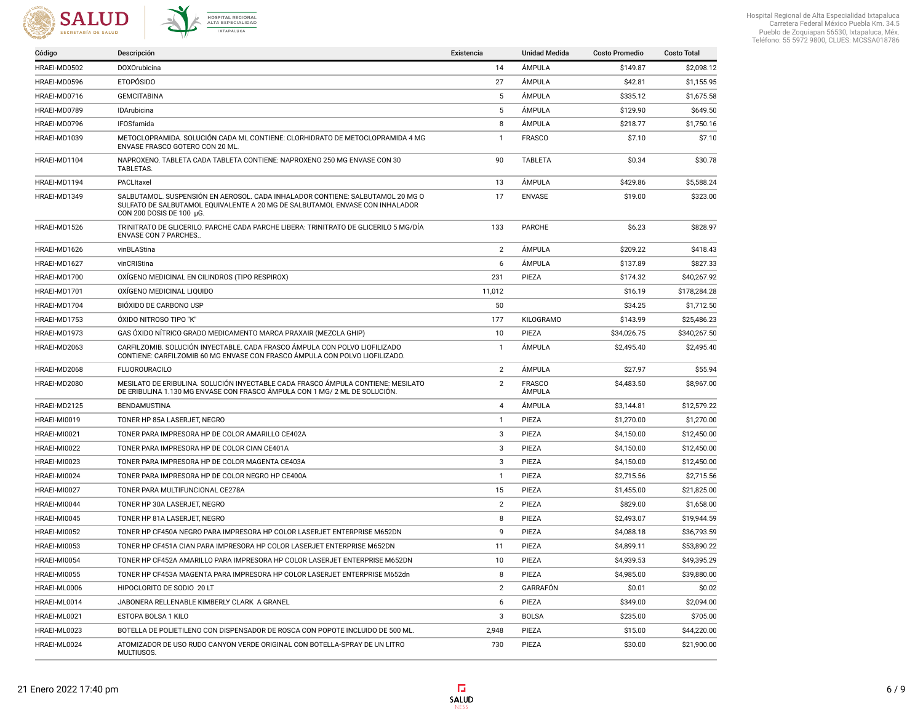



| Código       | Descripción                                                                                                                                                                                | Existencia     | <b>Unidad Medida</b>    | <b>Costo Promedio</b> | <b>Costo Total</b> |
|--------------|--------------------------------------------------------------------------------------------------------------------------------------------------------------------------------------------|----------------|-------------------------|-----------------------|--------------------|
| HRAEI-MD0502 | DOXOrubicina                                                                                                                                                                               | 14             | ÁMPULA                  | \$149.87              | \$2,098.12         |
| HRAEI-MD0596 | <b>ETOPÓSIDO</b>                                                                                                                                                                           | 27             | ÁMPULA                  | \$42.81               | \$1,155.95         |
| HRAEI-MD0716 | <b>GEMCITABINA</b>                                                                                                                                                                         | 5              | ÁMPULA                  | \$335.12              | \$1,675.58         |
| HRAEI-MD0789 | IDArubicina                                                                                                                                                                                | 5              | ÁMPULA                  | \$129.90              | \$649.50           |
| HRAEI-MD0796 | IFOSfamida                                                                                                                                                                                 | 8              | ÁMPULA                  | \$218.77              | \$1,750.16         |
| HRAEI-MD1039 | METOCLOPRAMIDA. SOLUCIÓN CADA ML CONTIENE: CLORHIDRATO DE METOCLOPRAMIDA 4 MG<br>ENVASE FRASCO GOTERO CON 20 ML.                                                                           | $\mathbf{1}$   | <b>FRASCO</b>           | \$7.10                | \$7.10             |
| HRAEI-MD1104 | NAPROXENO. TABLETA CADA TABLETA CONTIENE: NAPROXENO 250 MG ENVASE CON 30<br>TABLETAS.                                                                                                      | 90             | <b>TABLETA</b>          | \$0.34                | \$30.78            |
| HRAEI-MD1194 | PACLItaxel                                                                                                                                                                                 | 13             | ÁMPULA                  | \$429.86              | \$5,588.24         |
| HRAEI-MD1349 | SALBUTAMOL. SUSPENSIÓN EN AEROSOL. CADA INHALADOR CONTIENE: SALBUTAMOL 20 MG O<br>SULFATO DE SALBUTAMOL EQUIVALENTE A 20 MG DE SALBUTAMOL ENVASE CON INHALADOR<br>CON 200 DOSIS DE 100 µG. | 17             | <b>ENVASE</b>           | \$19.00               | \$323.00           |
| HRAEI-MD1526 | TRINITRATO DE GLICERILO. PARCHE CADA PARCHE LIBERA: TRINITRATO DE GLICERILO 5 MG/DÍA<br><b>ENVASE CON 7 PARCHES.</b>                                                                       | 133            | <b>PARCHE</b>           | \$6.23                | \$828.97           |
| HRAEI-MD1626 | vinBLAStina                                                                                                                                                                                | $\overline{2}$ | ÁMPULA                  | \$209.22              | \$418.43           |
| HRAEI-MD1627 | vinCRIStina                                                                                                                                                                                | 6              | ÁMPULA                  | \$137.89              | \$827.33           |
| HRAEI-MD1700 | OXÍGENO MEDICINAL EN CILINDROS (TIPO RESPIROX)                                                                                                                                             | 231            | PIEZA                   | \$174.32              | \$40,267.92        |
| HRAEI-MD1701 | OXÍGENO MEDICINAL LIQUIDO                                                                                                                                                                  | 11,012         |                         | \$16.19               | \$178,284.28       |
| HRAEI-MD1704 | BIÓXIDO DE CARBONO USP                                                                                                                                                                     | 50             |                         | \$34.25               | \$1,712.50         |
| HRAEI-MD1753 | ÓXIDO NITROSO TIPO "K"                                                                                                                                                                     | 177            | KILOGRAMO               | \$143.99              | \$25,486.23        |
| HRAEI-MD1973 | GAS ÓXIDO NÍTRICO GRADO MEDICAMENTO MARCA PRAXAIR (MEZCLA GHIP)                                                                                                                            | 10             | PIEZA                   | \$34,026.75           | \$340,267.50       |
| HRAEI-MD2063 | CARFILZOMIB. SOLUCIÓN INYECTABLE. CADA FRASCO ÁMPULA CON POLVO LIOFILIZADO<br>CONTIENE: CARFILZOMIB 60 MG ENVASE CON FRASCO ÁMPULA CON POLVO LIOFILIZADO.                                  | $\mathbf{1}$   | <b>AMPULA</b>           | \$2,495.40            | \$2,495.40         |
| HRAEI-MD2068 | <b>FLUOROURACILO</b>                                                                                                                                                                       | $\overline{2}$ | ÁMPULA                  | \$27.97               | \$55.94            |
| HRAEI-MD2080 | MESILATO DE ERIBULINA. SOLUCIÓN INYECTABLE CADA FRASCO ÁMPULA CONTIENE: MESILATO<br>DE ERIBULINA 1.130 MG ENVASE CON FRASCO ÁMPULA CON 1 MG/ 2 ML DE SOLUCIÓN.                             | $\overline{2}$ | <b>FRASCO</b><br>ÁMPULA | \$4,483.50            | \$8,967.00         |
| HRAEI-MD2125 | BENDAMUSTINA                                                                                                                                                                               | $\overline{4}$ | ÁMPULA                  | \$3,144.81            | \$12,579.22        |
| HRAEI-MI0019 | TONER HP 85A LASERJET, NEGRO                                                                                                                                                               | $\mathbf{1}$   | PIEZA                   | \$1,270.00            | \$1,270.00         |
| HRAEI-MI0021 | TONER PARA IMPRESORA HP DE COLOR AMARILLO CE402A                                                                                                                                           | 3              | PIEZA                   | \$4,150.00            | \$12,450.00        |
| HRAEI-MI0022 | TONER PARA IMPRESORA HP DE COLOR CIAN CE401A                                                                                                                                               | 3              | PIEZA                   | \$4,150.00            | \$12,450.00        |
| HRAEI-MI0023 | TONER PARA IMPRESORA HP DE COLOR MAGENTA CE403A                                                                                                                                            | 3              | PIEZA                   | \$4,150.00            | \$12,450.00        |
| HRAEI-MI0024 | TONER PARA IMPRESORA HP DE COLOR NEGRO HP CE400A                                                                                                                                           | $\mathbf{1}$   | PIEZA                   | \$2,715.56            | \$2,715.56         |
| HRAEI-MI0027 | TONER PARA MULTIFUNCIONAL CE278A                                                                                                                                                           | 15             | PIEZA                   | \$1,455.00            | \$21,825.00        |
| HRAEI-MI0044 | TONER HP 30A LASERJET, NEGRO                                                                                                                                                               | 2              | PIEZA                   | \$829.00              | \$1,658.00         |
| HRAEI-MI0045 | TONER HP 81A LASERJET, NEGRO                                                                                                                                                               | 8              | PIEZA                   | \$2,493.07            | \$19,944.59        |
| HRAEI-MI0052 | TONER HP CF450A NEGRO PARA IMPRESORA HP COLOR LASERJET ENTERPRISE M652DN                                                                                                                   | 9              | PIEZA                   | \$4,088.18            | \$36,793.59        |
| HRAEI-MI0053 | TONER HP CF451A CIAN PARA IMPRESORA HP COLOR LASERJET ENTERPRISE M652DN                                                                                                                    | 11             | PIEZA                   | \$4,899.11            | \$53,890.22        |
| HRAEI-MI0054 | TONER HP CF452A AMARILLO PARA IMPRESORA HP COLOR LASERJET ENTERPRISE M652DN                                                                                                                | 10             | PIEZA                   | \$4,939.53            | \$49,395.29        |
| HRAEI-MI0055 | TONER HP CF453A MAGENTA PARA IMPRESORA HP COLOR LASERJET ENTERPRISE M652dn                                                                                                                 | 8              | PIEZA                   | \$4,985.00            | \$39,880.00        |
| HRAEI-ML0006 | HIPOCLORITO DE SODIO 20 LT                                                                                                                                                                 | $\overline{2}$ | GARRAFÓN                | \$0.01                | \$0.02             |
| HRAEI-ML0014 | JABONERA RELLENABLE KIMBERLY CLARK A GRANEL                                                                                                                                                | 6              | PIEZA                   | \$349.00              | \$2,094.00         |
| HRAEI-ML0021 | ESTOPA BOLSA 1 KILO                                                                                                                                                                        | 3              | <b>BOLSA</b>            | \$235.00              | \$705.00           |
| HRAEI-ML0023 | BOTELLA DE POLIETILENO CON DISPENSADOR DE ROSCA CON POPOTE INCLUIDO DE 500 ML.                                                                                                             | 2,948          | PIEZA                   | \$15.00               | \$44,220.00        |
| HRAEI-ML0024 | ATOMIZADOR DE USO RUDO CANYON VERDE ORIGINAL CON BOTELLA-SPRAY DE UN LITRO<br>MULTIUSOS.                                                                                                   | 730            | PIEZA                   | \$30.00               | \$21,900.00        |

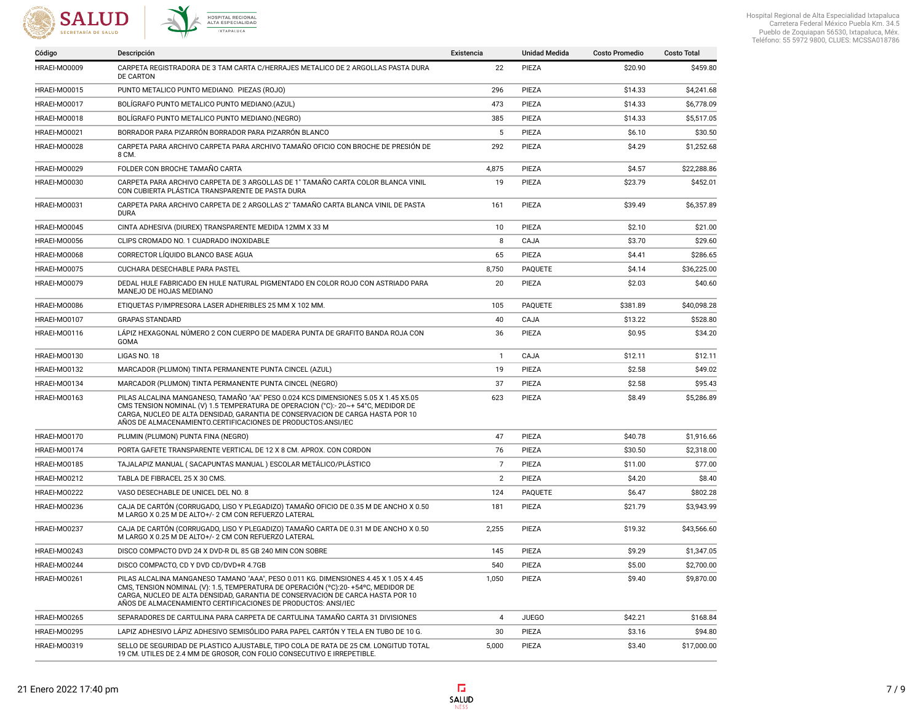



| Código       | Descripción                                                                                                                                                                                                                                                                                                                  | Existencia     | <b>Unidad Medida</b> | <b>Costo Promedio</b> | <b>Costo Total</b> |
|--------------|------------------------------------------------------------------------------------------------------------------------------------------------------------------------------------------------------------------------------------------------------------------------------------------------------------------------------|----------------|----------------------|-----------------------|--------------------|
| HRAEI-MO0009 | CARPETA REGISTRADORA DE 3 TAM CARTA C/HERRAJES METALICO DE 2 ARGOLLAS PASTA DURA<br>DE CARTON                                                                                                                                                                                                                                | 22             | PIEZA                | \$20.90               | \$459.80           |
| HRAEI-MO0015 | PUNTO METALICO PUNTO MEDIANO. PIEZAS (ROJO)                                                                                                                                                                                                                                                                                  | 296            | PIEZA                | \$14.33               | \$4,241.68         |
| HRAEI-MO0017 | BOLÍGRAFO PUNTO METALICO PUNTO MEDIANO.(AZUL)                                                                                                                                                                                                                                                                                | 473            | PIEZA                | \$14.33               | \$6,778.09         |
| HRAEI-MO0018 | BOLÍGRAFO PUNTO METALICO PUNTO MEDIANO. (NEGRO)                                                                                                                                                                                                                                                                              | 385            | PIEZA                | \$14.33               | \$5,517.05         |
| HRAEI-MO0021 | BORRADOR PARA PIZARRÓN BORRADOR PARA PIZARRÓN BLANCO                                                                                                                                                                                                                                                                         | 5              | PIEZA                | \$6.10                | \$30.50            |
| HRAEI-MO0028 | CARPETA PARA ARCHIVO CARPETA PARA ARCHIVO TAMAÑO OFICIO CON BROCHE DE PRESIÓN DE<br>8 CM.                                                                                                                                                                                                                                    | 292            | PIEZA                | \$4.29                | \$1,252.68         |
| HRAEI-MO0029 | FOLDER CON BROCHE TAMAÑO CARTA                                                                                                                                                                                                                                                                                               | 4,875          | PIEZA                | \$4.57                | \$22,288.86        |
| HRAEI-M00030 | CARPETA PARA ARCHIVO CARPETA DE 3 ARGOLLAS DE 1" TAMAÑO CARTA COLOR BLANCA VINIL<br>CON CUBIERTA PLÁSTICA TRANSPARENTE DE PASTA DURA                                                                                                                                                                                         | 19             | PIEZA                | \$23.79               | \$452.01           |
| HRAEI-MO0031 | CARPETA PARA ARCHIVO CARPETA DE 2 ARGOLLAS 2" TAMAÑO CARTA BLANCA VINIL DE PASTA<br><b>DURA</b>                                                                                                                                                                                                                              | 161            | PIEZA                | \$39.49               | \$6,357.89         |
| HRAEI-MO0045 | CINTA ADHESIVA (DIUREX) TRANSPARENTE MEDIDA 12MM X 33 M                                                                                                                                                                                                                                                                      | 10             | PIEZA                | \$2.10                | \$21.00            |
| HRAEI-MO0056 | CLIPS CROMADO NO. 1 CUADRADO INOXIDABLE                                                                                                                                                                                                                                                                                      | 8              | CAJA                 | \$3.70                | \$29.60            |
| HRAEI-MO0068 | CORRECTOR LÍQUIDO BLANCO BASE AGUA                                                                                                                                                                                                                                                                                           | 65             | PIEZA                | \$4.41                | \$286.65           |
| HRAEI-MO0075 | CUCHARA DESECHABLE PARA PASTEL                                                                                                                                                                                                                                                                                               | 8,750          | <b>PAOUETE</b>       | \$4.14                | \$36,225.00        |
| HRAEI-MO0079 | DEDAL HULE FABRICADO EN HULE NATURAL PIGMENTADO EN COLOR ROJO CON ASTRIADO PARA<br>MANEJO DE HOJAS MEDIANO                                                                                                                                                                                                                   | 20             | PIEZA                | \$2.03                | \$40.60            |
| HRAEI-MO0086 | ETIQUETAS P/IMPRESORA LASER ADHERIBLES 25 MM X 102 MM.                                                                                                                                                                                                                                                                       | 105            | PAQUETE              | \$381.89              | \$40,098.28        |
| HRAEI-MO0107 | <b>GRAPAS STANDARD</b>                                                                                                                                                                                                                                                                                                       | 40             | CAJA                 | \$13.22               | \$528.80           |
| HRAEI-MO0116 | LÁPIZ HEXAGONAL NÚMERO 2 CON CUERPO DE MADERA PUNTA DE GRAFITO BANDA ROJA CON<br>GOMA                                                                                                                                                                                                                                        | 36             | PIEZA                | \$0.95                | \$34.20            |
| HRAEI-MO0130 | LIGAS NO. 18                                                                                                                                                                                                                                                                                                                 | $\mathbf{1}$   | CAJA                 | \$12.11               | \$12.11            |
| HRAEI-MO0132 | MARCADOR (PLUMON) TINTA PERMANENTE PUNTA CINCEL (AZUL)                                                                                                                                                                                                                                                                       | 19             | PIEZA                | \$2.58                | \$49.02            |
| HRAEI-MO0134 | MARCADOR (PLUMON) TINTA PERMANENTE PUNTA CINCEL (NEGRO)                                                                                                                                                                                                                                                                      | 37             | PIEZA                | \$2.58                | \$95.43            |
| HRAEI-MO0163 | PILAS ALCALINA MANGANESO, TAMAÑO "AA" PESO 0.024 KCS DIMENSIONES 5.05 X 1.45 X5.05<br>CMS TENSION NOMINAL (V) 1.5 TEMPERATURA DE OPERACION (°C):- 20~+ 54°C, MEDIDOR DE<br>CARGA, NUCLEO DE ALTA DENSIDAD, GARANTIA DE CONSERVACION DE CARGA HASTA POR 10<br>AÑOS DE ALMACENAMIENTO.CERTIFICACIONES DE PRODUCTOS:ANSI/IEC    | 623            | PIEZA                | \$8.49                | \$5,286.89         |
| HRAEI-MO0170 | PLUMIN (PLUMON) PUNTA FINA (NEGRO)                                                                                                                                                                                                                                                                                           | 47             | PIEZA                | \$40.78               | \$1,916.66         |
| HRAEI-M00174 | PORTA GAFETE TRANSPARENTE VERTICAL DE 12 X 8 CM. APROX. CON CORDON                                                                                                                                                                                                                                                           | 76             | PIEZA                | \$30.50               | \$2,318.00         |
| HRAEI-MO0185 | TAJALAPIZ MANUAL (SACAPUNTAS MANUAL) ESCOLAR METÁLICO/PLÁSTICO                                                                                                                                                                                                                                                               | $\overline{7}$ | PIEZA                | \$11.00               | \$77.00            |
| HRAEI-MO0212 | TABLA DE FIBRACEL 25 X 30 CMS.                                                                                                                                                                                                                                                                                               | $\overline{2}$ | PIEZA                | \$4.20                | \$8.40             |
| HRAEI-MO0222 | VASO DESECHABLE DE UNICEL DEL NO. 8                                                                                                                                                                                                                                                                                          | 124            | <b>PAOUETE</b>       | \$6.47                | \$802.28           |
| HRAEI-M00236 | CAJA DE CARTÓN (CORRUGADO, LISO Y PLEGADIZO) TAMAÑO OFICIO DE 0.35 M DE ANCHO X 0.50<br>M LARGO X 0.25 M DE ALTO+/- 2 CM CON REFUERZO LATERAL                                                                                                                                                                                | 181            | PIEZA                | \$21.79               | \$3,943.99         |
| HRAEI-M00237 | CAJA DE CARTÓN (CORRUGADO, LISO Y PLEGADIZO) TAMAÑO CARTA DE 0.31 M DE ANCHO X 0.50<br>M LARGO X 0.25 M DE ALTO+/- 2 CM CON REFUERZO LATERAL                                                                                                                                                                                 | 2,255          | PIEZA                | \$19.32               | \$43,566.60        |
| HRAEI-MO0243 | DISCO COMPACTO DVD 24 X DVD-R DL 85 GB 240 MIN CON SOBRE                                                                                                                                                                                                                                                                     | 145            | PIEZA                | \$9.29                | \$1,347.05         |
| HRAEI-MO0244 | DISCO COMPACTO, CD Y DVD CD/DVD+R 4.7GB                                                                                                                                                                                                                                                                                      | 540            | PIEZA                | \$5.00                | \$2,700.00         |
| HRAEI-M00261 | PILAS ALCALINA MANGANESO TAMANO "AAA", PESO 0.011 KG. DIMENSIONES 4.45 X 1.05 X 4.45<br>CMS. TENSION NOMINAL (V): 1.5. TEMPERATURA DE OPERACIÓN (°C):20-+54°C. MEDIDOR DE<br>CARGA, NUCLEO DE ALTA DENSIDAD, GARANTIA DE CONSERVACION DE CARCA HASTA POR 10<br>AÑOS DE ALMACENAMIENTO CERTIFICACIONES DE PRODUCTOS: ANSI/IEC | 1,050          | PIEZA                | \$9.40                | \$9,870.00         |
| HRAEI-M00265 | SEPARADORES DE CARTULINA PARA CARPETA DE CARTULINA TAMAÑO CARTA 31 DIVISIONES                                                                                                                                                                                                                                                | $\overline{4}$ | <b>JUEGO</b>         | \$42.21               | \$168.84           |
| HRAEI-MO0295 | LAPIZ ADHESIVO LÁPIZ ADHESIVO SEMISÓLIDO PARA PAPEL CARTÓN Y TELA EN TUBO DE 10 G.                                                                                                                                                                                                                                           | 30             | PIEZA                | \$3.16                | \$94.80            |
| HRAEI-M00319 | SELLO DE SEGURIDAD DE PLASTICO AJUSTABLE, TIPO COLA DE RATA DE 25 CM. LONGITUD TOTAL<br>19 CM, UTILES DE 2.4 MM DE GROSOR, CON FOLIO CONSECUTIVO E IRREPETIBLE.                                                                                                                                                              | 5,000          | PIEZA                | \$3.40                | \$17,000.00        |

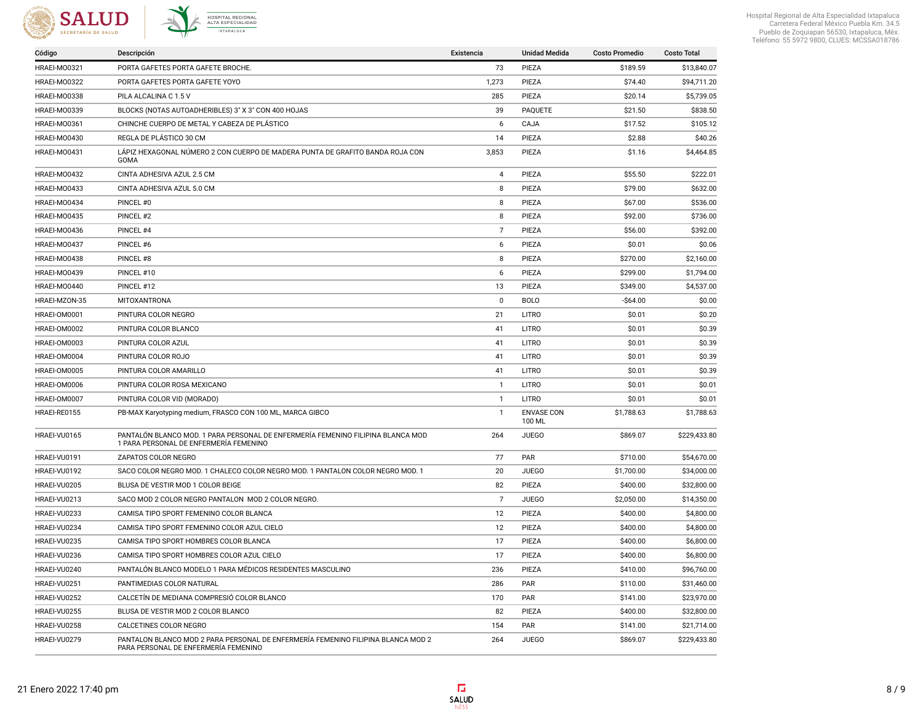



| Código        | Descripción                                                                                                               | Existencia     | <b>Unidad Medida</b>        | <b>Costo Promedio</b> | <b>Costo Total</b> |
|---------------|---------------------------------------------------------------------------------------------------------------------------|----------------|-----------------------------|-----------------------|--------------------|
| HRAEI-MO0321  | PORTA GAFETES PORTA GAFETE BROCHE.                                                                                        | 73             | PIEZA                       | \$189.59              | \$13,840.07        |
| HRAEI-M00322  | PORTA GAFETES PORTA GAFETE YOYO                                                                                           | 1,273          | PIEZA                       | \$74.40               | \$94,711.20        |
| HRAEI-MO0338  | PILA ALCALINA C 1.5 V                                                                                                     | 285            | PIEZA                       | \$20.14               | \$5,739.05         |
| HRAEI-MO0339  | BLOCKS (NOTAS AUTOADHERIBLES) 3" X 3" CON 400 HOJAS                                                                       | 39             | PAQUETE                     | \$21.50               | \$838.50           |
| HRAEI-M00361  | CHINCHE CUERPO DE METAL Y CABEZA DE PLÁSTICO                                                                              | 6              | CAJA                        | \$17.52               | \$105.12           |
| HRAEI-MO0430  | REGLA DE PLÁSTICO 30 CM                                                                                                   | 14             | PIEZA                       | \$2.88                | \$40.26            |
| HRAEI-MO0431  | LÁPIZ HEXAGONAL NÚMERO 2 CON CUERPO DE MADERA PUNTA DE GRAFITO BANDA ROJA CON<br>GOMA                                     | 3,853          | PIEZA                       | \$1.16                | \$4,464.85         |
| HRAEI-MO0432  | CINTA ADHESIVA AZUL 2.5 CM                                                                                                | 4              | PIEZA                       | \$55.50               | \$222.01           |
| HRAEI-MO0433  | CINTA ADHESIVA AZUL 5.0 CM                                                                                                | 8              | PIEZA                       | \$79.00               | \$632.00           |
| HRAEI-M00434  | PINCEL #0                                                                                                                 | 8              | PIEZA                       | \$67.00               | \$536.00           |
| HRAEI-MO0435  | PINCEL #2                                                                                                                 | 8              | PIEZA                       | \$92.00               | \$736.00           |
| HRAEI-M00436  | PINCEL #4                                                                                                                 | $\overline{7}$ | PIEZA                       | \$56.00               | \$392.00           |
| HRAEI-M00437  | PINCEL #6                                                                                                                 | 6              | PIEZA                       | \$0.01                | \$0.06             |
| HRAEI-MO0438  | PINCEL #8                                                                                                                 | 8              | PIEZA                       | \$270.00              | \$2,160.00         |
| HRAEI-M00439  | PINCEL #10                                                                                                                | 6              | PIEZA                       | \$299.00              | \$1,794.00         |
| HRAEI-MO0440  | PINCEL #12                                                                                                                | 13             | PIEZA                       | \$349.00              | \$4,537.00         |
| HRAEI-MZON-35 | MITOXANTRONA                                                                                                              | $\mathbf 0$    | <b>BOLO</b>                 | $-$64.00$             | \$0.00             |
| HRAEI-OM0001  | PINTURA COLOR NEGRO                                                                                                       | 21             | <b>LITRO</b>                | \$0.01                | \$0.20             |
| HRAEI-OM0002  | PINTURA COLOR BLANCO                                                                                                      | 41             | <b>LITRO</b>                | \$0.01                | \$0.39             |
| HRAEI-OM0003  | PINTURA COLOR AZUL                                                                                                        | 41             | <b>LITRO</b>                | \$0.01                | \$0.39             |
| HRAEI-OM0004  | PINTURA COLOR ROJO                                                                                                        | 41             | <b>LITRO</b>                | \$0.01                | \$0.39             |
| HRAEI-OM0005  | PINTURA COLOR AMARILLO                                                                                                    | 41             | <b>LITRO</b>                | \$0.01                | \$0.39             |
| HRAEI-OM0006  | PINTURA COLOR ROSA MEXICANO                                                                                               | $\mathbf{1}$   | <b>LITRO</b>                | \$0.01                | \$0.01             |
| HRAEI-OM0007  | PINTURA COLOR VID (MORADO)                                                                                                | $\mathbf{1}$   | LITRO                       | \$0.01                | \$0.01             |
| HRAEI-RE0155  | PB-MAX Karyotyping medium, FRASCO CON 100 ML, MARCA GIBCO                                                                 | $\mathbf{1}$   | <b>ENVASE CON</b><br>100 ML | \$1,788.63            | \$1,788.63         |
| HRAEI-VU0165  | PANTALÓN BLANCO MOD. 1 PARA PERSONAL DE ENFERMERÍA FEMENINO FILIPINA BLANCA MOD<br>1 PARA PERSONAL DE ENFERMERÍA FEMENINO | 264            | <b>JUEGO</b>                | \$869.07              | \$229,433.80       |
| HRAEI-VU0191  | ZAPATOS COLOR NEGRO                                                                                                       | 77             | PAR                         | \$710.00              | \$54,670.00        |
| HRAEI-VU0192  | SACO COLOR NEGRO MOD. 1 CHALECO COLOR NEGRO MOD. 1 PANTALON COLOR NEGRO MOD. 1                                            | 20             | <b>JUEGO</b>                | \$1,700.00            | \$34,000.00        |
| HRAEI-VU0205  | BLUSA DE VESTIR MOD 1 COLOR BEIGE                                                                                         | 82             | PIEZA                       | \$400.00              | \$32,800.00        |
| HRAEI-VU0213  | SACO MOD 2 COLOR NEGRO PANTALON MOD 2 COLOR NEGRO.                                                                        | $\overline{7}$ | <b>JUEGO</b>                | \$2,050.00            | \$14,350.00        |
| HRAEI-VU0233  | CAMISA TIPO SPORT FEMENINO COLOR BLANCA                                                                                   | 12             | PIEZA                       | \$400.00              | \$4,800.00         |
| HRAEI-VU0234  | CAMISA TIPO SPORT FEMENINO COLOR AZUL CIELO                                                                               | 12             | PIEZA                       | \$400.00              | \$4,800.00         |
| HRAEI-VU0235  | CAMISA TIPO SPORT HOMBRES COLOR BLANCA                                                                                    | 17             | PIEZA                       | \$400.00              | \$6,800.00         |
| HRAEI-VU0236  | CAMISA TIPO SPORT HOMBRES COLOR AZUL CIELO                                                                                | 17             | PIEZA                       | \$400.00              | \$6,800.00         |
| HRAEI-VU0240  | PANTALÓN BLANCO MODELO 1 PARA MÉDICOS RESIDENTES MASCULINO                                                                | 236            | PIEZA                       | \$410.00              | \$96,760.00        |
| HRAEI-VU0251  | PANTIMEDIAS COLOR NATURAL                                                                                                 | 286            | PAR                         | \$110.00              | \$31,460.00        |
| HRAEI-VU0252  | CALCETÍN DE MEDIANA COMPRESIÓ COLOR BLANCO                                                                                | 170            | <b>PAR</b>                  | \$141.00              | \$23,970.00        |
| HRAEI-VU0255  | BLUSA DE VESTIR MOD 2 COLOR BLANCO                                                                                        | 82             | PIEZA                       | \$400.00              | \$32,800.00        |
| HRAEI-VU0258  | CALCETINES COLOR NEGRO                                                                                                    | 154            | PAR                         | \$141.00              | \$21,714.00        |
| HRAEI-VU0279  | PANTALON BLANCO MOD 2 PARA PERSONAL DE ENFERMERÍA FEMENINO FILIPINA BLANCA MOD 2<br>PARA PERSONAL DE ENFERMERÍA FEMENINO  | 264            | <b>JUEGO</b>                | \$869.07              | \$229,433.80       |